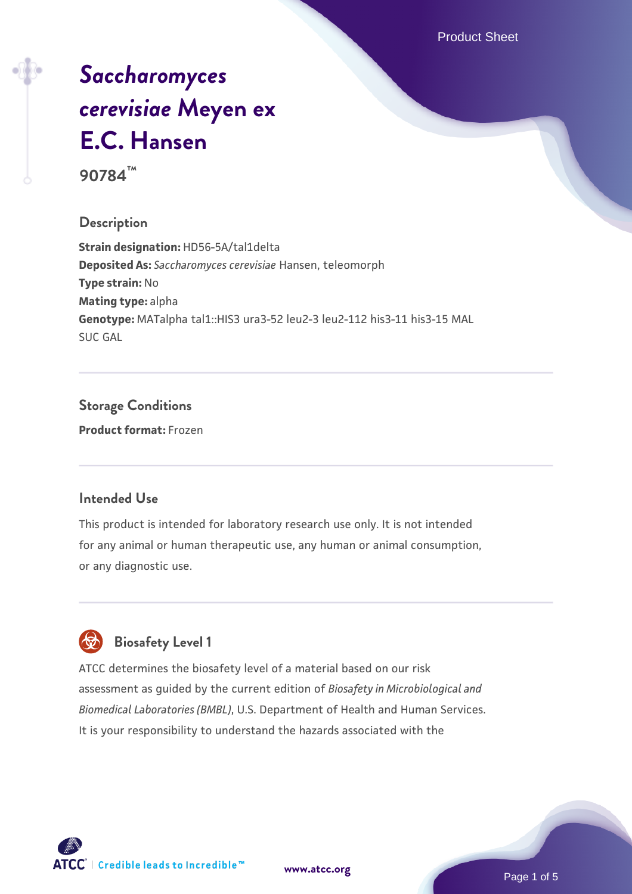Product Sheet

# *[Saccharomyces](https://www.atcc.org/products/90784) [cerevisiae](https://www.atcc.org/products/90784)* **[Meyen ex](https://www.atcc.org/products/90784) [E.C. Hansen](https://www.atcc.org/products/90784)**

**90784™**

#### **Description**

**Strain designation:** HD56-5A/tal1delta **Deposited As:** *Saccharomyces cerevisiae* Hansen, teleomorph **Type strain:** No **Mating type:** alpha **Genotype:** MATalpha tal1::HIS3 ura3-52 leu2-3 leu2-112 his3-11 his3-15 MAL SUC GAL

### **Storage Conditions**

**Product format:** Frozen

#### **Intended Use**

This product is intended for laboratory research use only. It is not intended for any animal or human therapeutic use, any human or animal consumption, or any diagnostic use.



#### **Biosafety Level 1**

ATCC determines the biosafety level of a material based on our risk assessment as guided by the current edition of *Biosafety in Microbiological and Biomedical Laboratories (BMBL)*, U.S. Department of Health and Human Services. It is your responsibility to understand the hazards associated with the

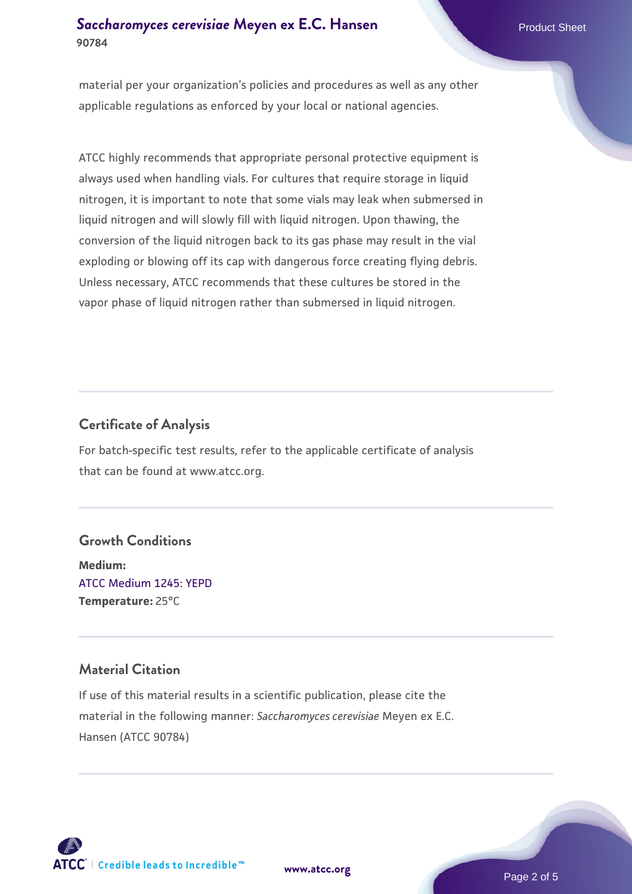#### **[Saccharomyces cerevisiae](https://www.atcc.org/products/90784)** [Meyen ex E.C. Hansen](https://www.atcc.org/products/90784) **90784**

material per your organization's policies and procedures as well as any other applicable regulations as enforced by your local or national agencies.

ATCC highly recommends that appropriate personal protective equipment is always used when handling vials. For cultures that require storage in liquid nitrogen, it is important to note that some vials may leak when submersed in liquid nitrogen and will slowly fill with liquid nitrogen. Upon thawing, the conversion of the liquid nitrogen back to its gas phase may result in the vial exploding or blowing off its cap with dangerous force creating flying debris. Unless necessary, ATCC recommends that these cultures be stored in the vapor phase of liquid nitrogen rather than submersed in liquid nitrogen.

#### **Certificate of Analysis**

For batch-specific test results, refer to the applicable certificate of analysis that can be found at www.atcc.org.

#### **Growth Conditions**

**Medium:**  [ATCC Medium 1245: YEPD](https://www.atcc.org/-/media/product-assets/documents/microbial-media-formulations/1/2/4/5/atcc-medium-1245.pdf?rev=705ca55d1b6f490a808a965d5c072196) **Temperature:** 25°C

#### **Material Citation**

If use of this material results in a scientific publication, please cite the material in the following manner: *Saccharomyces cerevisiae* Meyen ex E.C. Hansen (ATCC 90784)



**[www.atcc.org](http://www.atcc.org)**

Page 2 of 5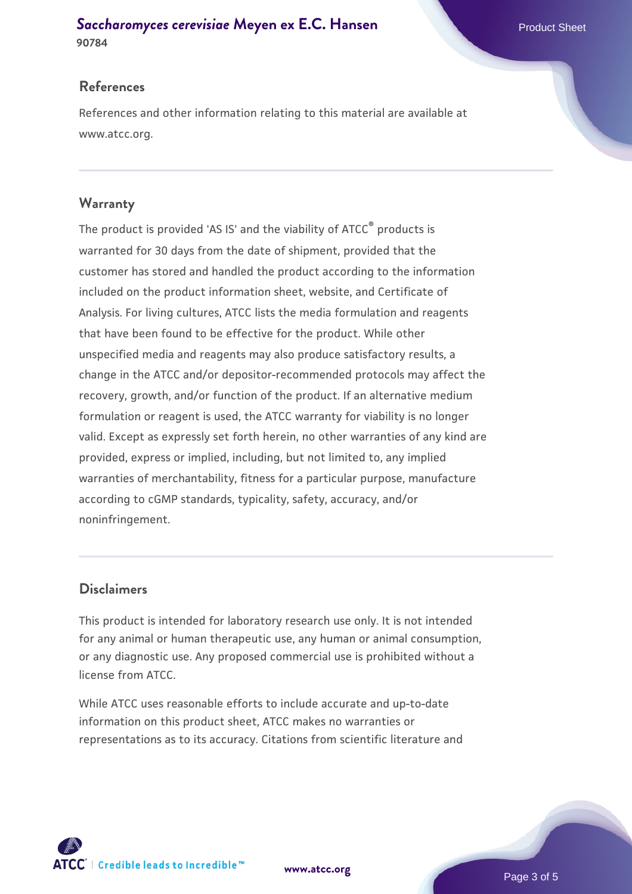#### **[Saccharomyces cerevisiae](https://www.atcc.org/products/90784)** [Meyen ex E.C. Hansen](https://www.atcc.org/products/90784) **90784**

#### **References**

References and other information relating to this material are available at www.atcc.org.

#### **Warranty**

The product is provided 'AS IS' and the viability of ATCC® products is warranted for 30 days from the date of shipment, provided that the customer has stored and handled the product according to the information included on the product information sheet, website, and Certificate of Analysis. For living cultures, ATCC lists the media formulation and reagents that have been found to be effective for the product. While other unspecified media and reagents may also produce satisfactory results, a change in the ATCC and/or depositor-recommended protocols may affect the recovery, growth, and/or function of the product. If an alternative medium formulation or reagent is used, the ATCC warranty for viability is no longer valid. Except as expressly set forth herein, no other warranties of any kind are provided, express or implied, including, but not limited to, any implied warranties of merchantability, fitness for a particular purpose, manufacture according to cGMP standards, typicality, safety, accuracy, and/or noninfringement.

#### **Disclaimers**

This product is intended for laboratory research use only. It is not intended for any animal or human therapeutic use, any human or animal consumption, or any diagnostic use. Any proposed commercial use is prohibited without a license from ATCC.

While ATCC uses reasonable efforts to include accurate and up-to-date information on this product sheet, ATCC makes no warranties or representations as to its accuracy. Citations from scientific literature and



**[www.atcc.org](http://www.atcc.org)**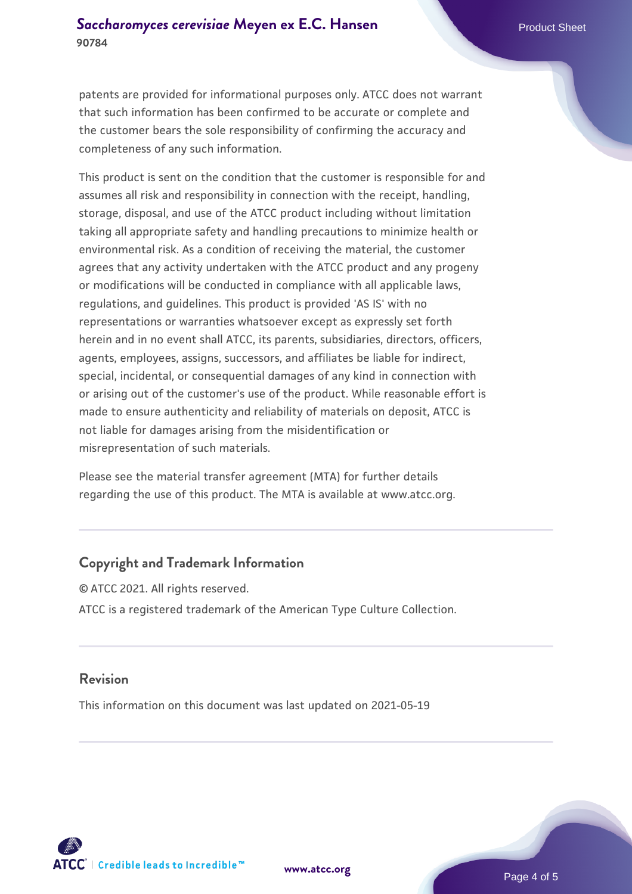patents are provided for informational purposes only. ATCC does not warrant that such information has been confirmed to be accurate or complete and the customer bears the sole responsibility of confirming the accuracy and completeness of any such information.

This product is sent on the condition that the customer is responsible for and assumes all risk and responsibility in connection with the receipt, handling, storage, disposal, and use of the ATCC product including without limitation taking all appropriate safety and handling precautions to minimize health or environmental risk. As a condition of receiving the material, the customer agrees that any activity undertaken with the ATCC product and any progeny or modifications will be conducted in compliance with all applicable laws, regulations, and guidelines. This product is provided 'AS IS' with no representations or warranties whatsoever except as expressly set forth herein and in no event shall ATCC, its parents, subsidiaries, directors, officers, agents, employees, assigns, successors, and affiliates be liable for indirect, special, incidental, or consequential damages of any kind in connection with or arising out of the customer's use of the product. While reasonable effort is made to ensure authenticity and reliability of materials on deposit, ATCC is not liable for damages arising from the misidentification or misrepresentation of such materials.

Please see the material transfer agreement (MTA) for further details regarding the use of this product. The MTA is available at www.atcc.org.

#### **Copyright and Trademark Information**

© ATCC 2021. All rights reserved. ATCC is a registered trademark of the American Type Culture Collection.

#### **Revision**

This information on this document was last updated on 2021-05-19



**[www.atcc.org](http://www.atcc.org)**

Page 4 of 5